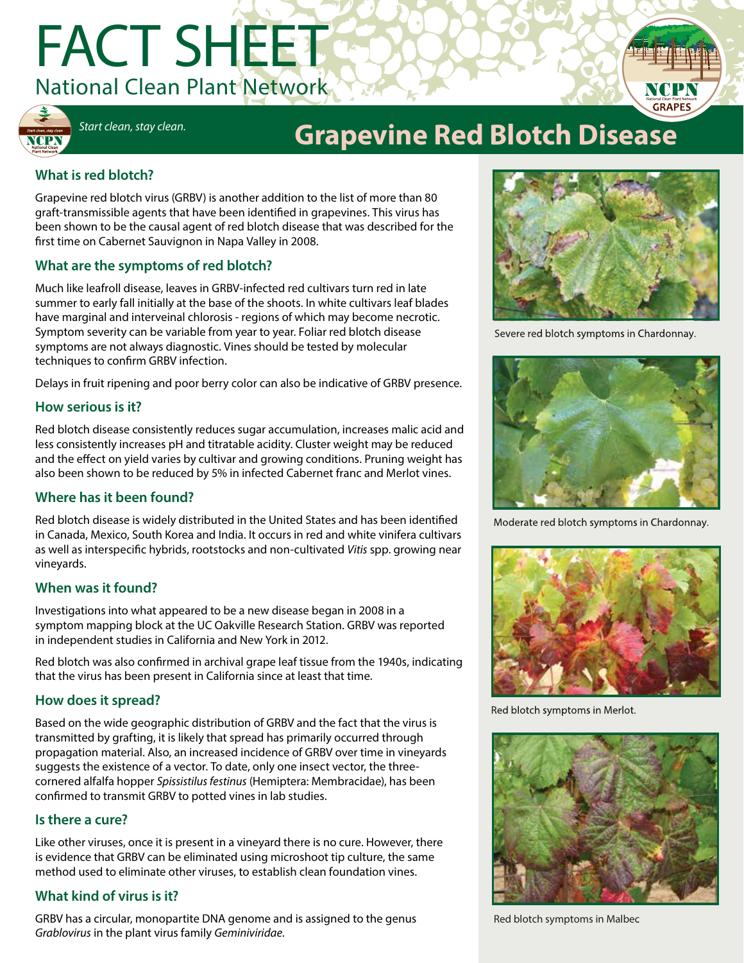# FACT SHEET National Clean Plant Network





# *Start clean, stay clean.* **Grapevine Red Blotch Disease**

# **What is red blotch?**

Grapevine red blotch virus (GRBV) is another addition to the list of more than 80 graft-transmissible agents that have been identified in grapevines. This virus has been shown to be the causal agent of red blotch disease that was described for the first time on Cabernet Sauvignon in Napa Valley in 2008.

# **What are the symptoms of red blotch?**

Much like leafroll disease, leaves in GRBV-infected red cultivars turn red in late summer to early fall initially at the base of the shoots. In white cultivars leaf blades have marginal and interveinal chlorosis - regions of which may become necrotic. Symptom severity can be variable from year to year. Foliar red blotch disease symptoms are not always diagnostic. Vines should be tested by molecular techniques to confirm GRBV infection.

Delays in fruit ripening and poor berry color can also be indicative of GRBV presence.

### **How serious is it?**

Red blotch disease consistently reduces sugar accumulation, increases malic acid and less consistently increases pH and titratable acidity. Cluster weight may be reduced and the effect on yield varies by cultivar and growing conditions. Pruning weight has also been shown to be reduced by 5% in infected Cabernet franc and Merlot vines.

### **Where has it been found?**

Red blotch disease is widely distributed in the United States and has been identified in Canada, Mexico, South Korea and India. It occurs in red and white vinifera cultivars as well as interspecific hybrids, rootstocks and non-cultivated *Vitis* spp. growing near vineyards.

# **When was it found?**

Investigations into what appeared to be a new disease began in 2008 in a symptom mapping block at the UC Oakville Research Station. GRBV was reported in independent studies in California and New York in 2012.

Red blotch was also confirmed in archival grape leaf tissue from the 1940s, indicating that the virus has been present in California since at least that time.

# **How does it spread?**

Based on the wide geographic distribution of GRBV and the fact that the virus is transmitted by grafting, it is likely that spread has primarily occurred through propagation material. Also, an increased incidence of GRBV over time in vineyards suggests the existence of a vector. To date, only one insect vector, the threecornered alfalfa hopper *Spissistilus festinus* (Hemiptera: Membracidae), has been confirmed to transmit GRBV to potted vines in lab studies.

### **Is there a cure?**

Like other viruses, once it is present in a vineyard there is no cure. However, there is evidence that GRBV can be eliminated using microshoot tip culture, the same method used to eliminate other viruses, to establish clean foundation vines.

# **What kind of virus is it?**

GRBV has a circular, monopartite DNA genome and is assigned to the genus *Grablovirus* in the plant virus family *Geminiviridae.*



Severe red blotch symptoms in Chardonnay.



Moderate red blotch symptoms in Chardonnay.



Red blotch symptoms in Merlot.



Red blotch symptoms in Malbec.